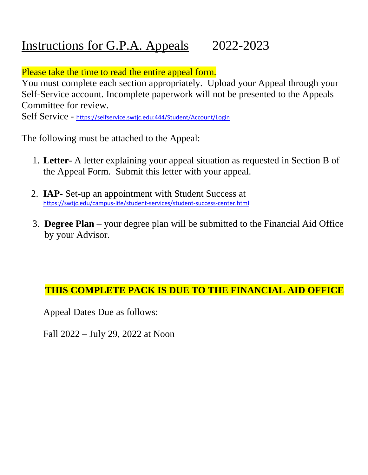## Instructions for G.P.A. Appeals 2022-2023

Please take the time to read the entire appeal form.

You must complete each section appropriately. Upload your Appeal through your Self-Service account. Incomplete paperwork will not be presented to the Appeals Committee for review.

Self Service - https://selfservice.swtjc.edu:444/Student/Account/Login

The following must be attached to the Appeal:

- 1. **Letter** A letter explaining your appeal situation as requested in Section B of the Appeal Form. Submit this letter with your appeal.
- 2. **IAP** Set-up an appointment with Student Success at https://swtjc.edu/campus-life/student-services/student-success-center.html
- 3. **Degree Plan** your degree plan will be submitted to the Financial Aid Office by your Advisor.

## **THIS COMPLETE PACK IS DUE TO THE FINANCIAL AID OFFICE**

Appeal Dates Due as follows:

Fall 2022 – July 29, 2022 at Noon